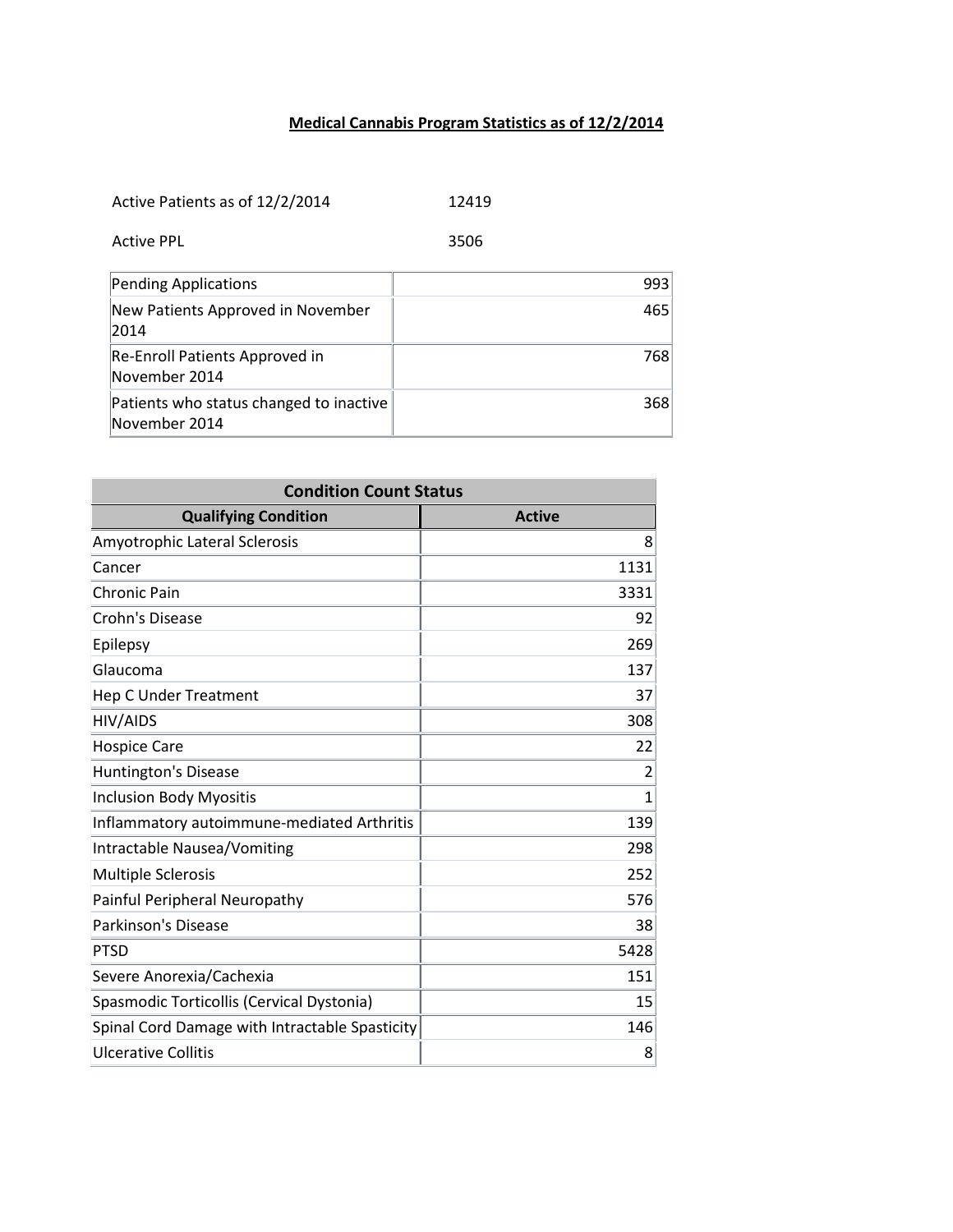## **Medical Cannabis Program Statistics as of 12/2/2014**

Active Patients as of 12/2/2014 12419

Active PPL 3506

| Pending Applications                                     | 993 |
|----------------------------------------------------------|-----|
| New Patients Approved in November<br>2014                | 465 |
| Re-Enroll Patients Approved in<br>November 2014          | 768 |
| Patients who status changed to inactive<br>November 2014 | 368 |

| <b>Condition Count Status</b>                  |               |
|------------------------------------------------|---------------|
| <b>Qualifying Condition</b>                    | <b>Active</b> |
| Amyotrophic Lateral Sclerosis                  | 8             |
| Cancer                                         | 1131          |
| <b>Chronic Pain</b>                            | 3331          |
| <b>Crohn's Disease</b>                         | 92            |
| Epilepsy                                       | 269           |
| Glaucoma                                       | 137           |
| <b>Hep C Under Treatment</b>                   | 37            |
| HIV/AIDS                                       | 308           |
| <b>Hospice Care</b>                            | 22            |
| Huntington's Disease                           | 2             |
| <b>Inclusion Body Myositis</b>                 | 1             |
| Inflammatory autoimmune-mediated Arthritis     | 139           |
| Intractable Nausea/Vomiting                    | 298           |
| <b>Multiple Sclerosis</b>                      | 252           |
| Painful Peripheral Neuropathy                  | 576           |
| <b>Parkinson's Disease</b>                     | 38            |
| <b>PTSD</b>                                    | 5428          |
| Severe Anorexia/Cachexia                       | 151           |
| Spasmodic Torticollis (Cervical Dystonia)      | 15            |
| Spinal Cord Damage with Intractable Spasticity | 146           |
| <b>Ulcerative Collitis</b>                     | 8             |